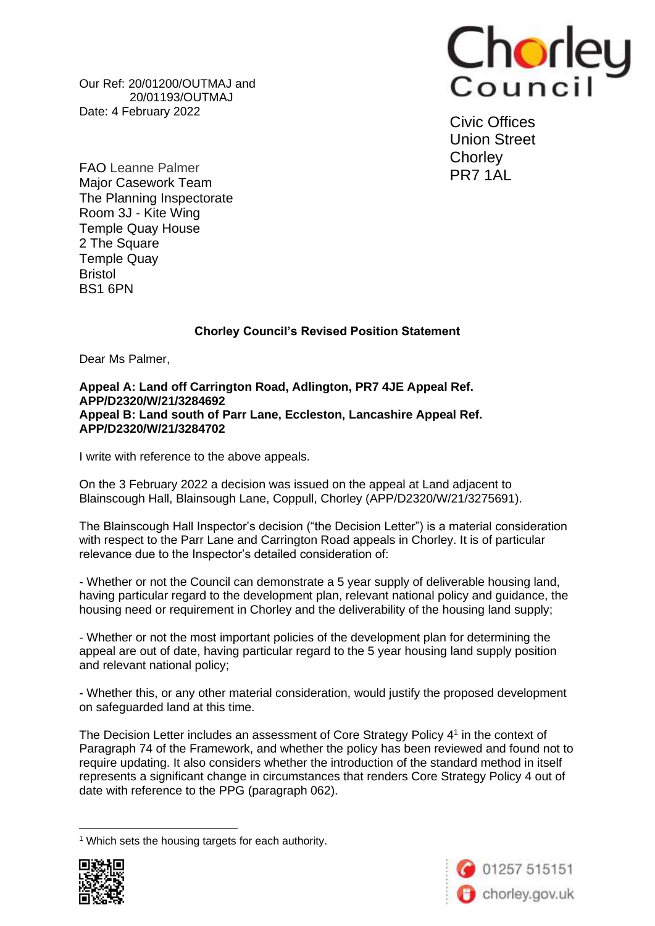Our Ref: 20/01200/OUTMAJ and 20/01193/OUTMAJ Date: 4 February 2022



Civic Offices Union Street **Chorley** PR7 1AL

FAO Leanne Palmer Major Casework Team The Planning Inspectorate Room 3J - Kite Wing Temple Quay House 2 The Square Temple Quay Bristol BS1 6PN

## **Chorley Council's Revised Position Statement**

Dear Ms Palmer,

## **Appeal A: Land off Carrington Road, Adlington, PR7 4JE Appeal Ref. APP/D2320/W/21/3284692 Appeal B: Land south of Parr Lane, Eccleston, Lancashire Appeal Ref. APP/D2320/W/21/3284702**

I write with reference to the above appeals.

On the 3 February 2022 a decision was issued on the appeal at Land adjacent to Blainscough Hall, Blainsough Lane, Coppull, Chorley (APP/D2320/W/21/3275691).

The Blainscough Hall Inspector's decision ("the Decision Letter") is a material consideration with respect to the Parr Lane and Carrington Road appeals in Chorley. It is of particular relevance due to the Inspector's detailed consideration of:

- Whether or not the Council can demonstrate a 5 year supply of deliverable housing land, having particular regard to the development plan, relevant national policy and guidance, the housing need or requirement in Chorley and the deliverability of the housing land supply;

- Whether or not the most important policies of the development plan for determining the appeal are out of date, having particular regard to the 5 year housing land supply position and relevant national policy;

- Whether this, or any other material consideration, would justify the proposed development on safeguarded land at this time.

The Decision Letter includes an assessment of Core Strategy Policy  $4<sup>1</sup>$  in the context of Paragraph 74 of the Framework, and whether the policy has been reviewed and found not to require updating. It also considers whether the introduction of the standard method in itself represents a significant change in circumstances that renders Core Strategy Policy 4 out of date with reference to the PPG (paragraph 062).

<sup>1</sup> Which sets the housing targets for each authority.